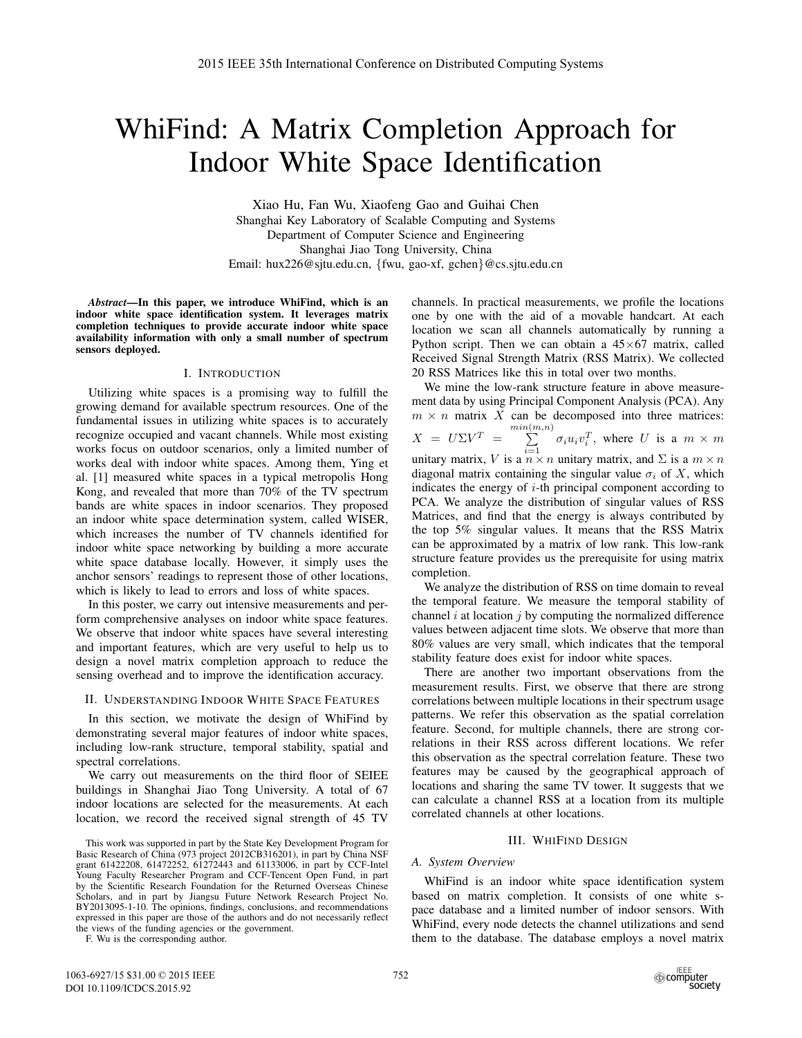# WhiFind: A Matrix Completion Approach for Indoor White Space Identification

Xiao Hu, Fan Wu, Xiaofeng Gao and Guihai Chen Shanghai Key Laboratory of Scalable Computing and Systems Department of Computer Science and Engineering Shanghai Jiao Tong University, China Email: hux226@sjtu.edu.cn, {fwu, gao-xf, gchen}@cs.sjtu.edu.cn

*Abstract*—In this paper, we introduce WhiFind, which is an indoor white space identification system. It leverages matrix completion techniques to provide accurate indoor white space availability information with only a small number of spectrum sensors deployed.

# I. INTRODUCTION

Utilizing white spaces is a promising way to fulfill the growing demand for available spectrum resources. One of the fundamental issues in utilizing white spaces is to accurately recognize occupied and vacant channels. While most existing works focus on outdoor scenarios, only a limited number of works deal with indoor white spaces. Among them, Ying et al. [1] measured white spaces in a typical metropolis Hong Kong, and revealed that more than 70% of the TV spectrum bands are white spaces in indoor scenarios. They proposed an indoor white space determination system, called WISER, which increases the number of TV channels identified for indoor white space networking by building a more accurate white space database locally. However, it simply uses the anchor sensors' readings to represent those of other locations, which is likely to lead to errors and loss of white spaces.

In this poster, we carry out intensive measurements and perform comprehensive analyses on indoor white space features. We observe that indoor white spaces have several interesting and important features, which are very useful to help us to design a novel matrix completion approach to reduce the sensing overhead and to improve the identification accuracy.

# II. UNDERSTANDING INDOOR WHITE SPACE FEATURES

In this section, we motivate the design of WhiFind by demonstrating several major features of indoor white spaces, including low-rank structure, temporal stability, spatial and spectral correlations.

We carry out measurements on the third floor of SEIEE buildings in Shanghai Jiao Tong University. A total of 67 indoor locations are selected for the measurements. At each location, we record the received signal strength of 45 TV

F. Wu is the corresponding author.

channels. In practical measurements, we profile the locations one by one with the aid of a movable handcart. At each location we scan all channels automatically by running a Python script. Then we can obtain a  $45\times67$  matrix, called Received Signal Strength Matrix (RSS Matrix). We collected 20 RSS Matrices like this in total over two months.

We mine the low-rank structure feature in above measurement data by using Principal Component Analysis (PCA). Any  $m \times n$  matrix X can be decomposed into three matrices:  $X = U\Sigma V^T = \sum^{min(m,n)}$  $\sum_{i=1}^{\infty} \sigma_i u_i v_i^T$ , where U is a  $m \times m$ unitary matrix, V is a  $n \times n$  unitary matrix, and  $\Sigma$  is a  $m \times n$ diagonal matrix containing the singular value  $\sigma_i$  of X, which indicates the energy of  $i$ -th principal component according to PCA. We analyze the distribution of singular values of RSS Matrices, and find that the energy is always contributed by the top 5% singular values. It means that the RSS Matrix can be approximated by a matrix of low rank. This low-rank structure feature provides us the prerequisite for using matrix completion.

We analyze the distribution of RSS on time domain to reveal the temporal feature. We measure the temporal stability of channel  $i$  at location  $j$  by computing the normalized difference values between adjacent time slots. We observe that more than 80% values are very small, which indicates that the temporal stability feature does exist for indoor white spaces.

There are another two important observations from the measurement results. First, we observe that there are strong correlations between multiple locations in their spectrum usage patterns. We refer this observation as the spatial correlation feature. Second, for multiple channels, there are strong correlations in their RSS across different locations. We refer this observation as the spectral correlation feature. These two features may be caused by the geographical approach of locations and sharing the same TV tower. It suggests that we can calculate a channel RSS at a location from its multiple correlated channels at other locations.

#### III. WHIFIND DESIGN

# *A. System Overview*

WhiFind is an indoor white space identification system based on matrix completion. It consists of one white space database and a limited number of indoor sensors. With WhiFind, every node detects the channel utilizations and send them to the database. The database employs a novel matrix

This work was supported in part by the State Key Development Program for Basic Research of China (973 project 2012CB316201), in part by China NSF grant 61422208, 61472252, 61272443 and 61133006, in part by CCF-Intel Young Faculty Researcher Program and CCF-Tencent Open Fund, in part by the Scientific Research Foundation for the Returned Overseas Chinese Scholars, and in part by Jiangsu Future Network Research Project No. BY2013095-1-10. The opinions, findings, conclusions, and recommendations expressed in this paper are those of the authors and do not necessarily reflect the views of the funding agencies or the government.